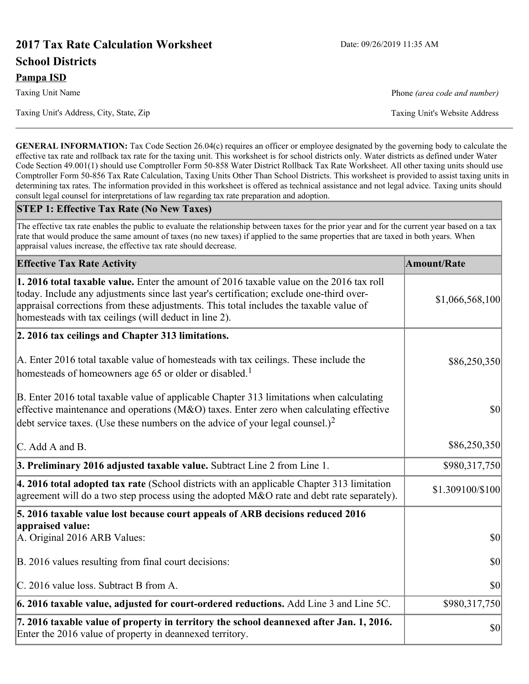# **2017 Tax Rate Calculation Worksheet** Date: 09/26/2019 11:35 AM **School Districts**

Taxing Unit's Address, City, State, Zip Taxing Unit's Website Address

**GENERAL INFORMATION:** Tax Code Section 26.04(c) requires an officer or employee designated by the governing body to calculate the effective tax rate and rollback tax rate for the taxing unit. This worksheet is for school districts only. Water districts as defined under Water Code Section 49.001(1) should use Comptroller Form 50-858 Water District Rollback Tax Rate Worksheet. All other taxing units should use Comptroller Form 50-856 Tax Rate Calculation, Taxing Units Other Than School Districts. This worksheet is provided to assist taxing units in determining tax rates. The information provided in this worksheet is offered as technical assistance and not legal advice. Taxing units should consult legal counsel for interpretations of law regarding tax rate preparation and adoption.

#### **STEP 1: Effective Tax Rate (No New Taxes)**

The effective tax rate enables the public to evaluate the relationship between taxes for the prior year and for the current year based on a tax rate that would produce the same amount of taxes (no new taxes) if applied to the same properties that are taxed in both years. When appraisal values increase, the effective tax rate should decrease.

| <b>Effective Tax Rate Activity</b>                                                                                                                                                                                                                                                                                                     | <b>Amount/Rate</b> |
|----------------------------------------------------------------------------------------------------------------------------------------------------------------------------------------------------------------------------------------------------------------------------------------------------------------------------------------|--------------------|
| 1. 2016 total taxable value. Enter the amount of 2016 taxable value on the 2016 tax roll<br>today. Include any adjustments since last year's certification; exclude one-third over-<br>appraisal corrections from these adjustments. This total includes the taxable value of<br>homesteads with tax ceilings (will deduct in line 2). | \$1,066,568,100    |
| 2. 2016 tax ceilings and Chapter 313 limitations.                                                                                                                                                                                                                                                                                      |                    |
| A. Enter 2016 total taxable value of homesteads with tax ceilings. These include the<br>homesteads of homeowners age 65 or older or disabled. <sup>1</sup>                                                                                                                                                                             | \$86,250,350       |
| B. Enter 2016 total taxable value of applicable Chapter 313 limitations when calculating<br>effective maintenance and operations ( $M&O$ ) taxes. Enter zero when calculating effective<br>debt service taxes. (Use these numbers on the advice of your legal counsel.) <sup>2</sup>                                                   | 30                 |
| C. Add A and B.                                                                                                                                                                                                                                                                                                                        | \$86,250,350       |
| 3. Preliminary 2016 adjusted taxable value. Subtract Line 2 from Line 1.                                                                                                                                                                                                                                                               | \$980,317,750      |
| 4. 2016 total adopted tax rate (School districts with an applicable Chapter 313 limitation<br>agreement will do a two step process using the adopted $M&O$ rate and debt rate separately).                                                                                                                                             | \$1.309100/\$100   |
| 5. 2016 taxable value lost because court appeals of ARB decisions reduced 2016                                                                                                                                                                                                                                                         |                    |
| appraised value:<br>A. Original 2016 ARB Values:                                                                                                                                                                                                                                                                                       | $ 10\rangle$       |
| B. 2016 values resulting from final court decisions:                                                                                                                                                                                                                                                                                   | \$0                |
| C. 2016 value loss. Subtract B from A.                                                                                                                                                                                                                                                                                                 | \$0                |
| $\vert$ 6. 2016 taxable value, adjusted for court-ordered reductions. Add Line 3 and Line 5C.                                                                                                                                                                                                                                          | \$980,317,750      |
| 7. 2016 taxable value of property in territory the school deannexed after Jan. 1, 2016.<br>Enter the 2016 value of property in deannexed territory.                                                                                                                                                                                    | $ 10\rangle$       |

Taxing Unit Name **Phone** *(area code and number)* Phone *(area code and number)*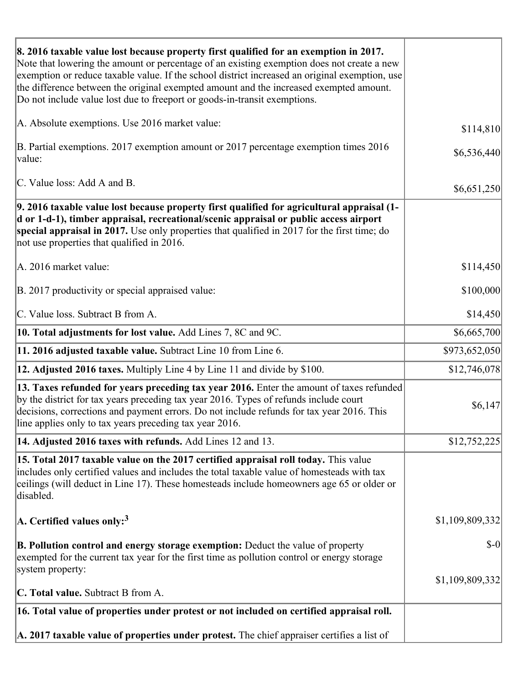| 8. 2016 taxable value lost because property first qualified for an exemption in 2017.<br>Note that lowering the amount or percentage of an existing exemption does not create a new<br>exemption or reduce taxable value. If the school district increased an original exemption, use<br>the difference between the original exempted amount and the increased exempted amount.<br>Do not include value lost due to freeport or goods-in-transit exemptions. |                 |
|--------------------------------------------------------------------------------------------------------------------------------------------------------------------------------------------------------------------------------------------------------------------------------------------------------------------------------------------------------------------------------------------------------------------------------------------------------------|-----------------|
| A. Absolute exemptions. Use 2016 market value:                                                                                                                                                                                                                                                                                                                                                                                                               | \$114,810       |
| B. Partial exemptions. 2017 exemption amount or 2017 percentage exemption times 2016<br>value:                                                                                                                                                                                                                                                                                                                                                               | \$6,536,440     |
| C. Value loss: Add A and B.                                                                                                                                                                                                                                                                                                                                                                                                                                  | \$6,651,250     |
| 9. 2016 taxable value lost because property first qualified for agricultural appraisal (1-<br>d or 1-d-1), timber appraisal, recreational/scenic appraisal or public access airport<br>special appraisal in 2017. Use only properties that qualified in 2017 for the first time; do<br>not use properties that qualified in 2016.                                                                                                                            |                 |
| A. 2016 market value:                                                                                                                                                                                                                                                                                                                                                                                                                                        | \$114,450       |
| B. 2017 productivity or special appraised value:                                                                                                                                                                                                                                                                                                                                                                                                             | \$100,000       |
| C. Value loss. Subtract B from A.                                                                                                                                                                                                                                                                                                                                                                                                                            | \$14,450        |
| 10. Total adjustments for lost value. Add Lines 7, 8C and 9C.                                                                                                                                                                                                                                                                                                                                                                                                | \$6,665,700     |
| 11. 2016 adjusted taxable value. Subtract Line 10 from Line 6.                                                                                                                                                                                                                                                                                                                                                                                               | \$973,652,050   |
| <b>12. Adjusted 2016 taxes.</b> Multiply Line 4 by Line 11 and divide by \$100.                                                                                                                                                                                                                                                                                                                                                                              | \$12,746,078    |
| [13. Taxes refunded for years preceding tax year 2016. Enter the amount of taxes refunded]<br>by the district for tax years preceding tax year 2016. Types of refunds include court<br>decisions, corrections and payment errors. Do not include refunds for tax year 2016. This<br>line applies only to tax years preceding tax year 2016.                                                                                                                  | \$6,147         |
| 14. Adjusted 2016 taxes with refunds. Add Lines 12 and 13.                                                                                                                                                                                                                                                                                                                                                                                                   | \$12,752,225    |
| 15. Total 2017 taxable value on the 2017 certified appraisal roll today. This value<br>includes only certified values and includes the total taxable value of homesteads with tax<br>ceilings (will deduct in Line 17). These homesteads include homeowners age 65 or older or<br>disabled.                                                                                                                                                                  |                 |
| A. Certified values only: <sup>3</sup>                                                                                                                                                                                                                                                                                                                                                                                                                       | \$1,109,809,332 |
| <b>B. Pollution control and energy storage exemption:</b> Deduct the value of property<br>exempted for the current tax year for the first time as pollution control or energy storage<br>system property:                                                                                                                                                                                                                                                    | $$-0$           |
|                                                                                                                                                                                                                                                                                                                                                                                                                                                              | \$1,109,809,332 |
| <b>C. Total value.</b> Subtract B from A.                                                                                                                                                                                                                                                                                                                                                                                                                    |                 |
| 16. Total value of properties under protest or not included on certified appraisal roll.                                                                                                                                                                                                                                                                                                                                                                     |                 |
| A. 2017 taxable value of properties under protest. The chief appraiser certifies a list of                                                                                                                                                                                                                                                                                                                                                                   |                 |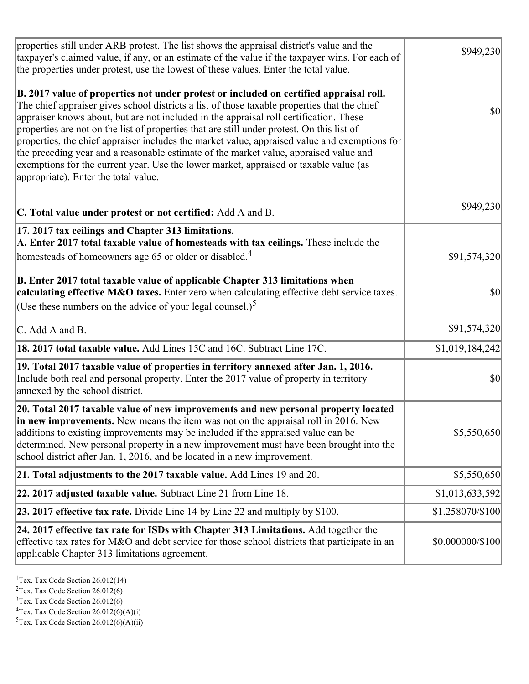| properties still under ARB protest. The list shows the appraisal district's value and the<br>taxpayer's claimed value, if any, or an estimate of the value if the taxpayer wins. For each of<br>the properties under protest, use the lowest of these values. Enter the total value.                                                                                                                                                                                                                                                                                                                                                                                                                      | \$949,230        |
|-----------------------------------------------------------------------------------------------------------------------------------------------------------------------------------------------------------------------------------------------------------------------------------------------------------------------------------------------------------------------------------------------------------------------------------------------------------------------------------------------------------------------------------------------------------------------------------------------------------------------------------------------------------------------------------------------------------|------------------|
| B. 2017 value of properties not under protest or included on certified appraisal roll.<br>The chief appraiser gives school districts a list of those taxable properties that the chief<br>appraiser knows about, but are not included in the appraisal roll certification. These<br>properties are not on the list of properties that are still under protest. On this list of<br>properties, the chief appraiser includes the market value, appraised value and exemptions for<br>the preceding year and a reasonable estimate of the market value, appraised value and<br>exemptions for the current year. Use the lower market, appraised or taxable value (as<br>appropriate). Enter the total value. | $ S_0 $          |
| C. Total value under protest or not certified: Add A and B.                                                                                                                                                                                                                                                                                                                                                                                                                                                                                                                                                                                                                                               | \$949,230        |
| 17. 2017 tax ceilings and Chapter 313 limitations.<br>A. Enter 2017 total taxable value of homesteads with tax ceilings. These include the<br>homesteads of homeowners age 65 or older or disabled. <sup>4</sup>                                                                                                                                                                                                                                                                                                                                                                                                                                                                                          | \$91,574,320     |
| B. Enter 2017 total taxable value of applicable Chapter 313 limitations when<br>calculating effective M&O taxes. Enter zero when calculating effective debt service taxes.<br>(Use these numbers on the advice of your legal counsel.) <sup>5</sup>                                                                                                                                                                                                                                                                                                                                                                                                                                                       | \$0              |
|                                                                                                                                                                                                                                                                                                                                                                                                                                                                                                                                                                                                                                                                                                           |                  |
| $\mathcal{C}$ . Add A and B.                                                                                                                                                                                                                                                                                                                                                                                                                                                                                                                                                                                                                                                                              | \$91,574,320     |
| 18. 2017 total taxable value. Add Lines 15C and 16C. Subtract Line 17C.                                                                                                                                                                                                                                                                                                                                                                                                                                                                                                                                                                                                                                   | \$1,019,184,242  |
| 19. Total 2017 taxable value of properties in territory annexed after Jan. 1, 2016.<br>Include both real and personal property. Enter the 2017 value of property in territory<br>annexed by the school district.                                                                                                                                                                                                                                                                                                                                                                                                                                                                                          | 30               |
| 20. Total 2017 taxable value of new improvements and new personal property located<br>in new improvements. New means the item was not on the appraisal roll in 2016. New<br>additions to existing improvements may be included if the appraised value can be<br>determined. New personal property in a new improvement must have been brought into the<br>school district after Jan. 1, 2016, and be located in a new improvement.                                                                                                                                                                                                                                                                        | \$5,550,650      |
| 21. Total adjustments to the 2017 taxable value. Add Lines 19 and 20.                                                                                                                                                                                                                                                                                                                                                                                                                                                                                                                                                                                                                                     | \$5,550,650      |
| $ 22.2017$ adjusted taxable value. Subtract Line 21 from Line 18.                                                                                                                                                                                                                                                                                                                                                                                                                                                                                                                                                                                                                                         | \$1,013,633,592  |
| <b>23. 2017 effective tax rate.</b> Divide Line 14 by Line 22 and multiply by \$100.                                                                                                                                                                                                                                                                                                                                                                                                                                                                                                                                                                                                                      | \$1.258070/\$100 |
| 24. 2017 effective tax rate for ISDs with Chapter 313 Limitations. Add together the<br>effective tax rates for M&O and debt service for those school districts that participate in an<br>applicable Chapter 313 limitations agreement.                                                                                                                                                                                                                                                                                                                                                                                                                                                                    | \$0.000000/\$100 |
|                                                                                                                                                                                                                                                                                                                                                                                                                                                                                                                                                                                                                                                                                                           |                  |

<sup>1</sup>Tex. Tax Code Section  $26.012(14)$ 

<sup>2</sup>Tex. Tax Code Section 26.012(6)

 $3$ Tex. Tax Code Section 26.012(6)

 ${}^{4}$ Tex. Tax Code Section 26.012(6)(A)(i)

 ${}^{5}$ Tex. Tax Code Section 26.012(6)(A)(ii)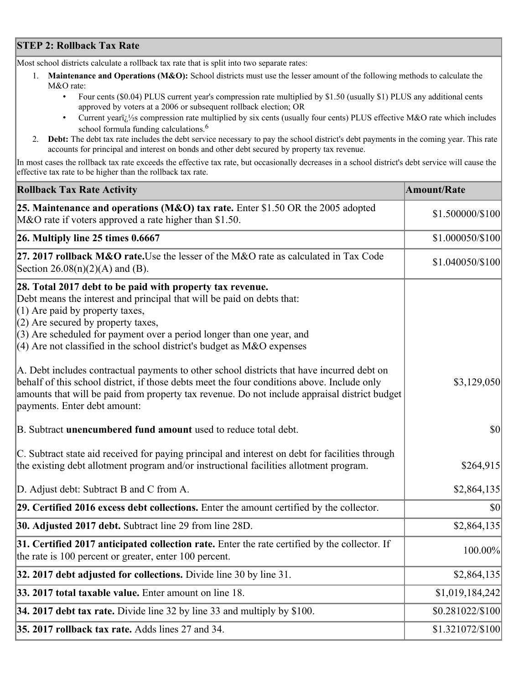## **STEP 2: Rollback Tax Rate**

Most school districts calculate a rollback tax rate that is split into two separate rates:

- 1. **Maintenance and Operations (M&O):** School districts must use the lesser amount of the following methods to calculate the M&O rate:
	- Four cents (\$0.04) PLUS current year's compression rate multiplied by \$1.50 (usually \$1) PLUS any additional cents approved by voters at a 2006 or subsequent rollback election; OR
	- Current year $i/\frac{1}{2}$ s compression rate multiplied by six cents (usually four cents) PLUS effective M&O rate which includes school formula funding calculations.<sup>6</sup>
- 2. **Debt:** The debt tax rate includes the debt service necessary to pay the school district's debt payments in the coming year. This rate accounts for principal and interest on bonds and other debt secured by property tax revenue.

In most cases the rollback tax rate exceeds the effective tax rate, but occasionally decreases in a school district's debt service will cause the effective tax rate to be higher than the rollback tax rate.

| <b>Rollback Tax Rate Activity</b>                                                                                                                                                                                                                                                                                                                                       | <b>Amount/Rate</b> |
|-------------------------------------------------------------------------------------------------------------------------------------------------------------------------------------------------------------------------------------------------------------------------------------------------------------------------------------------------------------------------|--------------------|
| 25. Maintenance and operations (M&O) tax rate. Enter \$1.50 OR the 2005 adopted<br>M&O rate if voters approved a rate higher than \$1.50.                                                                                                                                                                                                                               | \$1.500000/\$100   |
| $26.$ Multiply line 25 times $0.6667$                                                                                                                                                                                                                                                                                                                                   | \$1.000050/\$100   |
| 27. 2017 rollback M&O rate. Use the lesser of the M&O rate as calculated in Tax Code<br>Section $26.08(n)(2)(A)$ and (B).                                                                                                                                                                                                                                               | \$1.040050/\$100   |
| 28. Total 2017 debt to be paid with property tax revenue.<br>Debt means the interest and principal that will be paid on debts that:<br>$(1)$ Are paid by property taxes,<br>$(2)$ Are secured by property taxes,<br>$(3)$ Are scheduled for payment over a period longer than one year, and<br>$(4)$ Are not classified in the school district's budget as M&O expenses |                    |
| A. Debt includes contractual payments to other school districts that have incurred debt on<br>behalf of this school district, if those debts meet the four conditions above. Include only<br>amounts that will be paid from property tax revenue. Do not include appraisal district budget<br>payments. Enter debt amount:                                              | \$3,129,050        |
| B. Subtract unencumbered fund amount used to reduce total debt.                                                                                                                                                                                                                                                                                                         | $ 10\rangle$       |
| C. Subtract state aid received for paying principal and interest on debt for facilities through<br>the existing debt allotment program and/or instructional facilities allotment program.                                                                                                                                                                               | \$264,915          |
| D. Adjust debt: Subtract B and C from A.                                                                                                                                                                                                                                                                                                                                | \$2,864,135        |
| 29. Certified 2016 excess debt collections. Enter the amount certified by the collector.                                                                                                                                                                                                                                                                                | $ 10\rangle$       |
| 30. Adjusted 2017 debt. Subtract line 29 from line 28D.                                                                                                                                                                                                                                                                                                                 | \$2,864,135        |
| 31. Certified 2017 anticipated collection rate. Enter the rate certified by the collector. If<br>the rate is 100 percent or greater, enter 100 percent.                                                                                                                                                                                                                 | 100.00%            |
| 32. 2017 debt adjusted for collections. Divide line 30 by line 31.                                                                                                                                                                                                                                                                                                      | \$2,864,135        |
| 33. 2017 total taxable value. Enter amount on line 18.                                                                                                                                                                                                                                                                                                                  | \$1,019,184,242    |
| 34. 2017 debt tax rate. Divide line 32 by line 33 and multiply by \$100.                                                                                                                                                                                                                                                                                                | \$0.281022/\$100   |
| 35. 2017 rollback tax rate. Adds lines 27 and 34.                                                                                                                                                                                                                                                                                                                       | \$1.321072/\$100   |